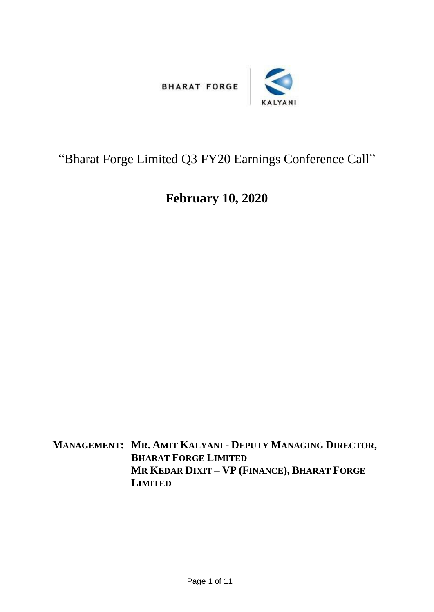

## "Bharat Forge Limited Q3 FY20 Earnings Conference Call"

## **February 10, 2020**

**MANAGEMENT: MR. AMIT KALYANI - DEPUTY MANAGING DIRECTOR, BHARAT FORGE LIMITED MR KEDAR DIXIT – VP (FINANCE), BHARAT FORGE LIMITED**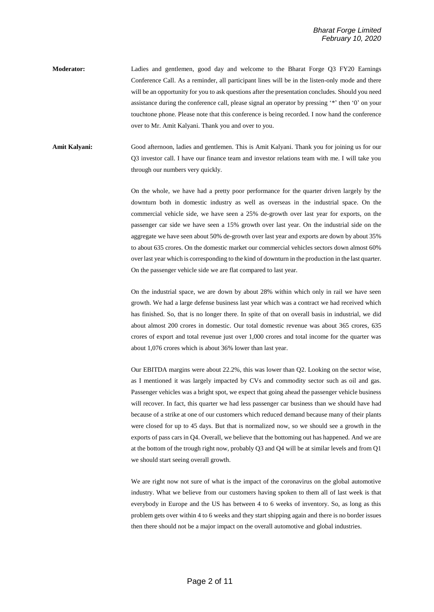**Moderator:** Ladies and gentlemen, good day and welcome to the Bharat Forge Q3 FY20 Earnings Conference Call. As a reminder, all participant lines will be in the listen-only mode and there will be an opportunity for you to ask questions after the presentation concludes. Should you need assistance during the conference call, please signal an operator by pressing '\*' then '0' on your touchtone phone. Please note that this conference is being recorded. I now hand the conference over to Mr. Amit Kalyani. Thank you and over to you.

**Amit Kalyani:** Good afternoon, ladies and gentlemen. This is Amit Kalyani. Thank you for joining us for our Q3 investor call. I have our finance team and investor relations team with me. I will take you through our numbers very quickly.

> On the whole, we have had a pretty poor performance for the quarter driven largely by the downturn both in domestic industry as well as overseas in the industrial space. On the commercial vehicle side, we have seen a 25% de-growth over last year for exports, on the passenger car side we have seen a 15% growth over last year. On the industrial side on the aggregate we have seen about 50% de-growth over last year and exports are down by about 35% to about 635 crores. On the domestic market our commercial vehicles sectors down almost 60% over last year which is corresponding to the kind of downturn in the production in the last quarter. On the passenger vehicle side we are flat compared to last year.

> On the industrial space, we are down by about 28% within which only in rail we have seen growth. We had a large defense business last year which was a contract we had received which has finished. So, that is no longer there. In spite of that on overall basis in industrial, we did about almost 200 crores in domestic. Our total domestic revenue was about 365 crores, 635 crores of export and total revenue just over 1,000 crores and total income for the quarter was about 1,076 crores which is about 36% lower than last year.

> Our EBITDA margins were about 22.2%, this was lower than Q2. Looking on the sector wise, as I mentioned it was largely impacted by CVs and commodity sector such as oil and gas. Passenger vehicles was a bright spot, we expect that going ahead the passenger vehicle business will recover. In fact, this quarter we had less passenger car business than we should have had because of a strike at one of our customers which reduced demand because many of their plants were closed for up to 45 days. But that is normalized now, so we should see a growth in the exports of pass cars in Q4. Overall, we believe that the bottoming out has happened. And we are at the bottom of the trough right now, probably Q3 and Q4 will be at similar levels and from Q1 we should start seeing overall growth.

> We are right now not sure of what is the impact of the coronavirus on the global automotive industry. What we believe from our customers having spoken to them all of last week is that everybody in Europe and the US has between 4 to 6 weeks of inventory. So, as long as this problem gets over within 4 to 6 weeks and they start shipping again and there is no border issues then there should not be a major impact on the overall automotive and global industries.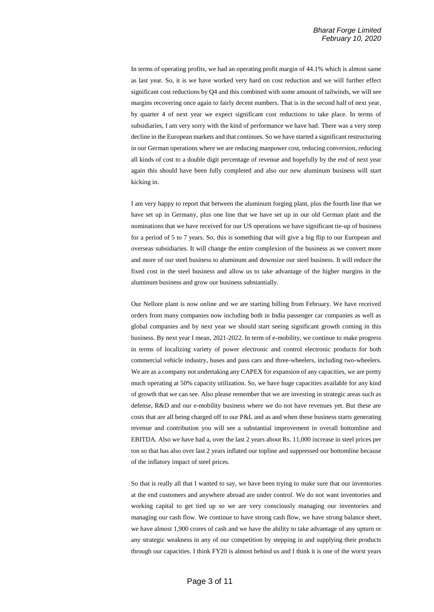In terms of operating profits, we had an operating profit margin of 44.1% which is almost same as last year. So, it is we have worked very hard on cost reduction and we will further effect significant cost reductions by Q4 and this combined with some amount of tailwinds, we will see margins recovering once again to fairly decent numbers. That is in the second half of next year, by quarter 4 of next year we expect significant cost reductions to take place. In terms of subsidiaries, I am very sorry with the kind of performance we have had. There was a very steep decline in the European markets and that continues. So we have started a significant restructuring in our German operations where we are reducing manpower cost, reducing conversion, reducing all kinds of cost to a double digit percentage of revenue and hopefully by the end of next year again this should have been fully completed and also our new aluminum business will start kicking in.

I am very happy to report that between the aluminum forging plant, plus the fourth line that we have set up in Germany, plus one line that we have set up in our old German plant and the nominations that we have received for our US operations we have significant tie-up of business for a period of 5 to 7 years. So, this is something that will give a big flip to our European and overseas subsidiaries. It will change the entire complexion of the business as we convert more and more of our steel business to aluminum and downsize our steel business. It will reduce the fixed cost in the steel business and allow us to take advantage of the higher margins in the aluminum business and grow our business substantially.

Our Nellore plant is now online and we are starting billing from February. We have received orders from many companies now including both in India passenger car companies as well as global companies and by next year we should start seeing significant growth coming in this business. By next year I mean, 2021-2022. In term of e-mobility, we continue to make progress in terms of localizing variety of power electronic and control electronic products for both commercial vehicle industry, buses and pass cars and three-wheelers, including two-wheelers. We are as a company not undertaking any CAPEX for expansion of any capacities, we are pretty much operating at 50% capacity utilization. So, we have huge capacities available for any kind of growth that we can see. Also please remember that we are investing in strategic areas such as defense, R&D and our e-mobility business where we do not have revenues yet. But these are costs that are all being charged off to our P&L and as and when these business starts generating revenue and contribution you will see a substantial improvement in overall bottomline and EBITDA. Also we have had a, over the last 2 years about Rs. 11,000 increase in steel prices per ton so that has also over last 2 years inflated our topline and suppressed our bottomline because of the inflatory impact of steel prices.

So that is really all that I wanted to say, we have been trying to make sure that our inventories at the end customers and anywhere abroad are under control. We do not want inventories and working capital to get tied up so we are very consciously managing our inventories and managing our cash flow. We continue to have strong cash flow, we have strong balance sheet, we have almost 1,900 crores of cash and we have the ability to take advantage of any upturn or any strategic weakness in any of our competition by stepping in and supplying their products through our capacities. I think FY20 is almost behind us and I think it is one of the worst years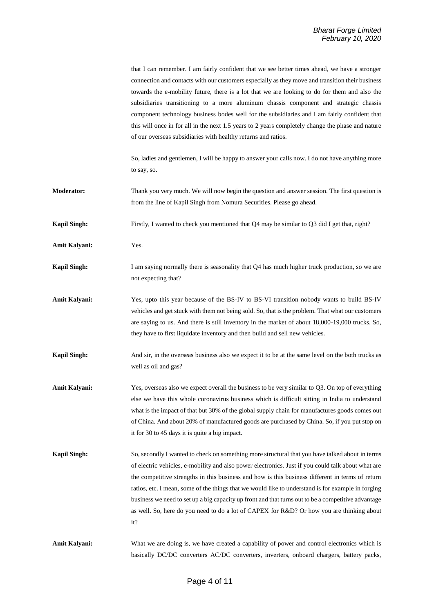|                      | that I can remember. I am fairly confident that we see better times ahead, we have a stronger<br>connection and contacts with our customers especially as they move and transition their business<br>towards the e-mobility future, there is a lot that we are looking to do for them and also the<br>subsidiaries transitioning to a more aluminum chassis component and strategic chassis<br>component technology business bodes well for the subsidiaries and I am fairly confident that<br>this will once in for all in the next 1.5 years to 2 years completely change the phase and nature<br>of our overseas subsidiaries with healthy returns and ratios. |
|----------------------|-------------------------------------------------------------------------------------------------------------------------------------------------------------------------------------------------------------------------------------------------------------------------------------------------------------------------------------------------------------------------------------------------------------------------------------------------------------------------------------------------------------------------------------------------------------------------------------------------------------------------------------------------------------------|
|                      | So, ladies and gentlemen, I will be happy to answer your calls now. I do not have anything more<br>to say, so.                                                                                                                                                                                                                                                                                                                                                                                                                                                                                                                                                    |
| <b>Moderator:</b>    | Thank you very much. We will now begin the question and answer session. The first question is<br>from the line of Kapil Singh from Nomura Securities. Please go ahead.                                                                                                                                                                                                                                                                                                                                                                                                                                                                                            |
| <b>Kapil Singh:</b>  | Firstly, I wanted to check you mentioned that Q4 may be similar to Q3 did I get that, right?                                                                                                                                                                                                                                                                                                                                                                                                                                                                                                                                                                      |
| Amit Kalyani:        | Yes.                                                                                                                                                                                                                                                                                                                                                                                                                                                                                                                                                                                                                                                              |
| <b>Kapil Singh:</b>  | I am saying normally there is seasonality that Q4 has much higher truck production, so we are<br>not expecting that?                                                                                                                                                                                                                                                                                                                                                                                                                                                                                                                                              |
| <b>Amit Kalyani:</b> | Yes, upto this year because of the BS-IV to BS-VI transition nobody wants to build BS-IV<br>vehicles and get stuck with them not being sold. So, that is the problem. That what our customers<br>are saying to us. And there is still inventory in the market of about 18,000-19,000 trucks. So,<br>they have to first liquidate inventory and then build and sell new vehicles.                                                                                                                                                                                                                                                                                  |
| <b>Kapil Singh:</b>  | And sir, in the overseas business also we expect it to be at the same level on the both trucks as<br>well as oil and gas?                                                                                                                                                                                                                                                                                                                                                                                                                                                                                                                                         |
| Amit Kalyani:        | Yes, overseas also we expect overall the business to be very similar to Q3. On top of everything<br>else we have this whole coronavirus business which is difficult sitting in India to understand<br>what is the impact of that but 30% of the global supply chain for manufactures goods comes out<br>of China. And about 20% of manufactured goods are purchased by China. So, if you put stop on<br>it for 30 to 45 days it is quite a big impact.                                                                                                                                                                                                            |
| <b>Kapil Singh:</b>  | So, secondly I wanted to check on something more structural that you have talked about in terms<br>of electric vehicles, e-mobility and also power electronics. Just if you could talk about what are<br>the competitive strengths in this business and how is this business different in terms of return<br>ratios, etc. I mean, some of the things that we would like to understand is for example in forging<br>business we need to set up a big capacity up front and that turns out to be a competitive advantage<br>as well. So, here do you need to do a lot of CAPEX for R&D? Or how you are thinking about<br>it?                                        |
| <b>Amit Kalyani:</b> | What we are doing is, we have created a capability of power and control electronics which is<br>basically DC/DC converters AC/DC converters, inverters, onboard chargers, battery packs,                                                                                                                                                                                                                                                                                                                                                                                                                                                                          |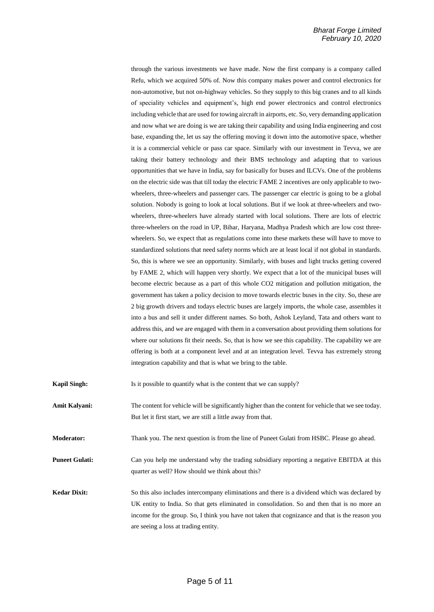through the various investments we have made. Now the first company is a company called Refu, which we acquired 50% of. Now this company makes power and control electronics for non-automotive, but not on-highway vehicles. So they supply to this big cranes and to all kinds of speciality vehicles and equipment's, high end power electronics and control electronics including vehicle that are used for towing aircraft in airports, etc. So, very demanding application and now what we are doing is we are taking their capability and using India engineering and cost base, expanding the, let us say the offering moving it down into the automotive space, whether it is a commercial vehicle or pass car space. Similarly with our investment in Tevva, we are taking their battery technology and their BMS technology and adapting that to various opportunities that we have in India, say for basically for buses and ILCVs. One of the problems on the electric side was that till today the electric FAME 2 incentives are only applicable to twowheelers, three-wheelers and passenger cars. The passenger car electric is going to be a global solution. Nobody is going to look at local solutions. But if we look at three-wheelers and twowheelers, three-wheelers have already started with local solutions. There are lots of electric three-wheelers on the road in UP, Bihar, Haryana, Madhya Pradesh which are low cost threewheelers. So, we expect that as regulations come into these markets these will have to move to standardized solutions that need safety norms which are at least local if not global in standards. So, this is where we see an opportunity. Similarly, with buses and light trucks getting covered by FAME 2, which will happen very shortly. We expect that a lot of the municipal buses will become electric because as a part of this whole CO2 mitigation and pollution mitigation, the government has taken a policy decision to move towards electric buses in the city. So, these are 2 big growth drivers and todays electric buses are largely imports, the whole case, assembles it into a bus and sell it under different names. So both, Ashok Leyland, Tata and others want to address this, and we are engaged with them in a conversation about providing them solutions for where our solutions fit their needs. So, that is how we see this capability. The capability we are offering is both at a component level and at an integration level. Tevva has extremely strong integration capability and that is what we bring to the table.

**Kapil Singh:** Is it possible to quantify what is the content that we can supply?

**Amit Kalyani:** The content for vehicle will be significantly higher than the content for vehicle that we see today. But let it first start, we are still a little away from that.

**Moderator:** Thank you. The next question is from the line of Puneet Gulati from HSBC. Please go ahead.

**Puneet Gulati:** Can you help me understand why the trading subsidiary reporting a negative EBITDA at this quarter as well? How should we think about this?

**Kedar Dixit:** So this also includes intercompany eliminations and there is a dividend which was declared by UK entity to India. So that gets eliminated in consolidation. So and then that is no more an income for the group. So, I think you have not taken that cognizance and that is the reason you are seeing a loss at trading entity.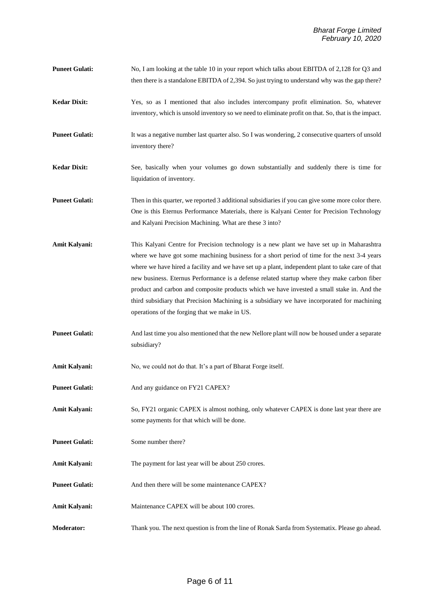- **Puneet Gulati:** No, I am looking at the table 10 in your report which talks about EBITDA of 2,128 for Q3 and then there is a standalone EBITDA of 2,394. So just trying to understand why was the gap there?
- **Kedar Dixit:** Yes, so as I mentioned that also includes intercompany profit elimination. So, whatever inventory, which is unsold inventory so we need to eliminate profit on that. So, that is the impact.

**Puneet Gulati:** It was a negative number last quarter also. So I was wondering, 2 consecutive quarters of unsold inventory there?

**Kedar Dixit:** See, basically when your volumes go down substantially and suddenly there is time for liquidation of inventory.

- **Puneet Gulati:** Then in this quarter, we reported 3 additional subsidiaries if you can give some more color there. One is this Eternus Performance Materials, there is Kalyani Center for Precision Technology and Kalyani Precision Machining. What are these 3 into?
- **Amit Kalyani:** This Kalyani Centre for Precision technology is a new plant we have set up in Maharashtra where we have got some machining business for a short period of time for the next 3-4 years where we have hired a facility and we have set up a plant, independent plant to take care of that new business. Eternus Performance is a defense related startup where they make carbon fiber product and carbon and composite products which we have invested a small stake in. And the third subsidiary that Precision Machining is a subsidiary we have incorporated for machining operations of the forging that we make in US.
- **Puneet Gulati:** And last time you also mentioned that the new Nellore plant will now be housed under a separate subsidiary?
- Amit Kalyani: No, we could not do that. It's a part of Bharat Forge itself.
- **Puneet Gulati:** And any guidance on FY21 CAPEX?
- Amit Kalyani: So, FY21 organic CAPEX is almost nothing, only whatever CAPEX is done last year there are some payments for that which will be done.
- **Puneet Gulati:** Some number there?
- Amit Kalyani: The payment for last year will be about 250 crores.
- **Puneet Gulati:** And then there will be some maintenance CAPEX?
- Amit Kalyani: Maintenance CAPEX will be about 100 crores.
- **Moderator:** Thank you. The next question is from the line of Ronak Sarda from Systematix. Please go ahead.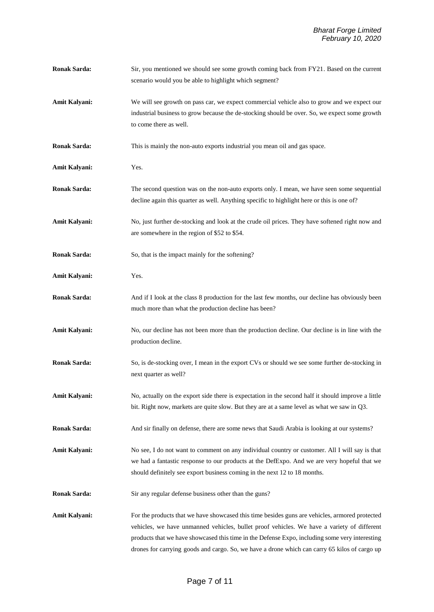- **Ronak Sarda:** Sir, you mentioned we should see some growth coming back from FY21. Based on the current scenario would you be able to highlight which segment?
- Amit Kalyani: We will see growth on pass car, we expect commercial vehicle also to grow and we expect our industrial business to grow because the de-stocking should be over. So, we expect some growth to come there as well.
- **Ronak Sarda:** This is mainly the non-auto exports industrial you mean oil and gas space.
- **Amit Kalyani:** Yes.
- **Ronak Sarda:** The second question was on the non-auto exports only. I mean, we have seen some sequential decline again this quarter as well. Anything specific to highlight here or this is one of?
- **Amit Kalyani:** No, just further de-stocking and look at the crude oil prices. They have softened right now and are somewhere in the region of \$52 to \$54.
- **Ronak Sarda:** So, that is the impact mainly for the softening?
- **Amit Kalyani:** Yes.
- **Ronak Sarda:** And if I look at the class 8 production for the last few months, our decline has obviously been much more than what the production decline has been?
- **Amit Kalyani:** No, our decline has not been more than the production decline. Our decline is in line with the production decline.
- **Ronak Sarda:** So, is de-stocking over, I mean in the export CVs or should we see some further de-stocking in next quarter as well?
- **Amit Kalyani:** No, actually on the export side there is expectation in the second half it should improve a little bit. Right now, markets are quite slow. But they are at a same level as what we saw in Q3.
- **Ronak Sarda:** And sir finally on defense, there are some news that Saudi Arabia is looking at our systems?
- **Amit Kalyani:** No see, I do not want to comment on any individual country or customer. All I will say is that we had a fantastic response to our products at the DefExpo. And we are very hopeful that we should definitely see export business coming in the next 12 to 18 months.
- **Ronak Sarda:** Sir any regular defense business other than the guns?
- Amit Kalyani: For the products that we have showcased this time besides guns are vehicles, armored protected vehicles, we have unmanned vehicles, bullet proof vehicles. We have a variety of different products that we have showcased this time in the Defense Expo, including some very interesting drones for carrying goods and cargo. So, we have a drone which can carry 65 kilos of cargo up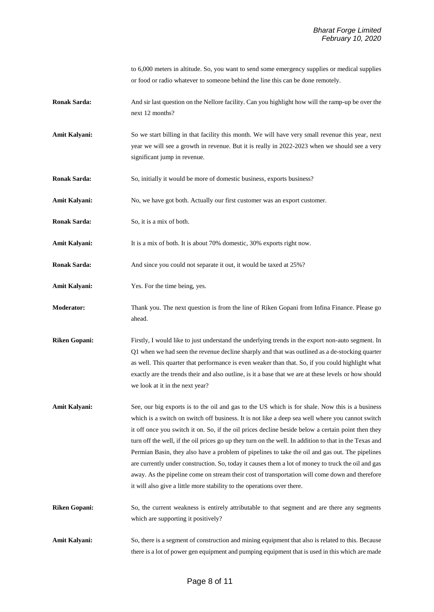to 6,000 meters in altitude. So, you want to send some emergency supplies or medical supplies or food or radio whatever to someone behind the line this can be done remotely.

**Ronak Sarda:** And sir last question on the Nellore facility. Can you highlight how will the ramp-up be over the next 12 months?

Amit Kalyani: So we start billing in that facility this month. We will have very small revenue this year, next year we will see a growth in revenue. But it is really in 2022-2023 when we should see a very significant jump in revenue.

- **Ronak Sarda:** So, initially it would be more of domestic business, exports business?
- Amit Kalyani: No, we have got both. Actually our first customer was an export customer.
- **Ronak Sarda:** So, it is a mix of both.
- **Amit Kalyani:** It is a mix of both. It is about 70% domestic, 30% exports right now.
- **Ronak Sarda:** And since you could not separate it out, it would be taxed at 25%?
- **Amit Kalyani:** Yes. For the time being, yes.
- **Moderator:** Thank you. The next question is from the line of Riken Gopani from Infina Finance. Please go ahead.
- **Riken Gopani:** Firstly, I would like to just understand the underlying trends in the export non-auto segment. In Q1 when we had seen the revenue decline sharply and that was outlined as a de-stocking quarter as well. This quarter that performance is even weaker than that. So, if you could highlight what exactly are the trends their and also outline, is it a base that we are at these levels or how should we look at it in the next year?
- **Amit Kalyani:** See, our big exports is to the oil and gas to the US which is for shale. Now this is a business which is a switch on switch off business. It is not like a deep sea well where you cannot switch it off once you switch it on. So, if the oil prices decline beside below a certain point then they turn off the well, if the oil prices go up they turn on the well. In addition to that in the Texas and Permian Basin, they also have a problem of pipelines to take the oil and gas out. The pipelines are currently under construction. So, today it causes them a lot of money to truck the oil and gas away. As the pipeline come on stream their cost of transportation will come down and therefore it will also give a little more stability to the operations over there.
- **Riken Gopani:** So, the current weakness is entirely attributable to that segment and are there any segments which are supporting it positively?
- Amit Kalyani: So, there is a segment of construction and mining equipment that also is related to this. Because there is a lot of power gen equipment and pumping equipment that is used in this which are made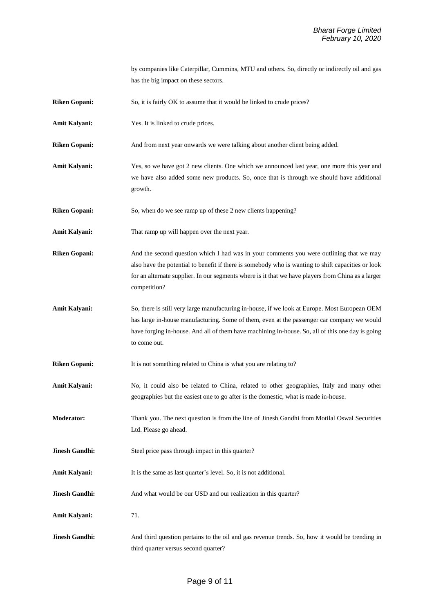by companies like Caterpillar, Cummins, MTU and others. So, directly or indirectly oil and gas has the big impact on these sectors.

**Riken Gopani:** So, it is fairly OK to assume that it would be linked to crude prices?

**Amit Kalyani:** Yes. It is linked to crude prices.

**Riken Gopani:** And from next year onwards we were talking about another client being added.

Amit Kalyani: Yes, so we have got 2 new clients. One which we announced last year, one more this year and we have also added some new products. So, once that is through we should have additional growth.

**Riken Gopani:** So, when do we see ramp up of these 2 new clients happening?

**Amit Kalyani:** That ramp up will happen over the next year.

**Riken Gopani:** And the second question which I had was in your comments you were outlining that we may also have the potential to benefit if there is somebody who is wanting to shift capacities or look for an alternate supplier. In our segments where is it that we have players from China as a larger competition?

**Amit Kalyani:** So, there is still very large manufacturing in-house, if we look at Europe. Most European OEM has large in-house manufacturing. Some of them, even at the passenger car company we would have forging in-house. And all of them have machining in-house. So, all of this one day is going to come out.

**Riken Gopani:** It is not something related to China is what you are relating to?

- Amit Kalyani: No, it could also be related to China, related to other geographies, Italy and many other geographies but the easiest one to go after is the domestic, what is made in-house.
- **Moderator:** Thank you. The next question is from the line of Jinesh Gandhi from Motilal Oswal Securities Ltd. Please go ahead.

**Jinesh Gandhi:** Steel price pass through impact in this quarter?

- Amit Kalyani: It is the same as last quarter's level. So, it is not additional.
- **Jinesh Gandhi:** And what would be our USD and our realization in this quarter?

Amit Kalyani: 71.

**Jinesh Gandhi:** And third question pertains to the oil and gas revenue trends. So, how it would be trending in third quarter versus second quarter?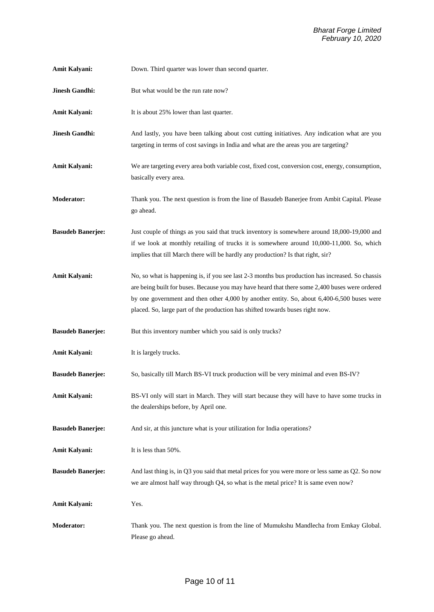| <b>Amit Kalyani:</b>     | Down. Third quarter was lower than second quarter.                                                                                                                                                                                                                                                                                                                                |
|--------------------------|-----------------------------------------------------------------------------------------------------------------------------------------------------------------------------------------------------------------------------------------------------------------------------------------------------------------------------------------------------------------------------------|
| <b>Jinesh Gandhi:</b>    | But what would be the run rate now?                                                                                                                                                                                                                                                                                                                                               |
| Amit Kalyani:            | It is about 25% lower than last quarter.                                                                                                                                                                                                                                                                                                                                          |
| <b>Jinesh Gandhi:</b>    | And lastly, you have been talking about cost cutting initiatives. Any indication what are you<br>targeting in terms of cost savings in India and what are the areas you are targeting?                                                                                                                                                                                            |
| Amit Kalyani:            | We are targeting every area both variable cost, fixed cost, conversion cost, energy, consumption,<br>basically every area.                                                                                                                                                                                                                                                        |
| <b>Moderator:</b>        | Thank you. The next question is from the line of Basudeb Banerjee from Ambit Capital. Please<br>go ahead.                                                                                                                                                                                                                                                                         |
| <b>Basudeb Banerjee:</b> | Just couple of things as you said that truck inventory is somewhere around 18,000-19,000 and<br>if we look at monthly retailing of trucks it is somewhere around 10,000-11,000. So, which<br>implies that till March there will be hardly any production? Is that right, sir?                                                                                                     |
| Amit Kalyani:            | No, so what is happening is, if you see last 2-3 months bus production has increased. So chassis<br>are being built for buses. Because you may have heard that there some 2,400 buses were ordered<br>by one government and then other 4,000 by another entity. So, about 6,400-6,500 buses were<br>placed. So, large part of the production has shifted towards buses right now. |
| <b>Basudeb Banerjee:</b> | But this inventory number which you said is only trucks?                                                                                                                                                                                                                                                                                                                          |
| Amit Kalyani:            | It is largely trucks.                                                                                                                                                                                                                                                                                                                                                             |
| <b>Basudeb Banerjee:</b> | So, basically till March BS-VI truck production will be very minimal and even BS-IV?                                                                                                                                                                                                                                                                                              |
| Amit Kalyani:            | BS-VI only will start in March. They will start because they will have to have some trucks in<br>the dealerships before, by April one.                                                                                                                                                                                                                                            |
| <b>Basudeb Banerjee:</b> | And sir, at this juncture what is your utilization for India operations?                                                                                                                                                                                                                                                                                                          |
| Amit Kalyani:            | It is less than 50%.                                                                                                                                                                                                                                                                                                                                                              |
| <b>Basudeb Banerjee:</b> | And last thing is, in Q3 you said that metal prices for you were more or less same as Q2. So now<br>we are almost half way through Q4, so what is the metal price? It is same even now?                                                                                                                                                                                           |
| Amit Kalyani:            | Yes.                                                                                                                                                                                                                                                                                                                                                                              |
| Moderator:               | Thank you. The next question is from the line of Mumukshu Mandlecha from Emkay Global.<br>Please go ahead.                                                                                                                                                                                                                                                                        |